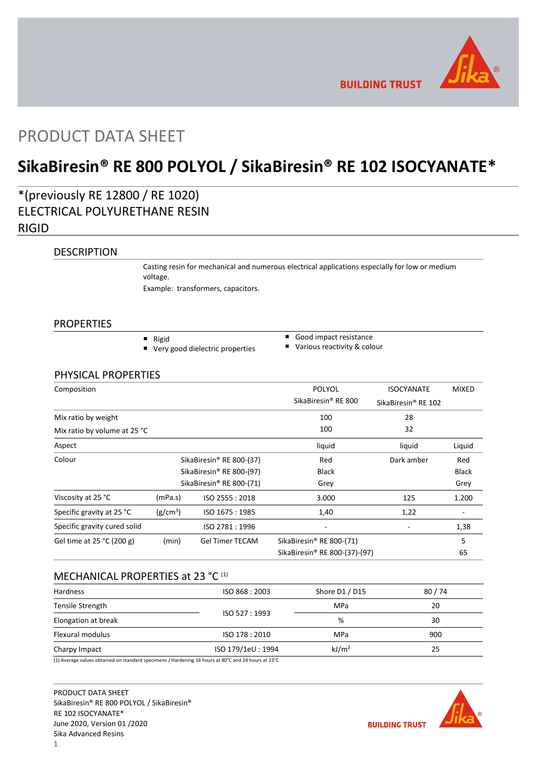

**BUILDING TRUST** 

## PRODUCT DATA SHEET

# **SikaBiresin® RE 800 POLYOL / SikaBiresin® RE 102 ISOCYANATE\***

## \*(previously RE 12800 / RE 1020) ELECTRICAL POLYURETHANE RESIN RIGID

### **DESCRIPTION**

Casting resin for mechanical and numerous electrical applications especially for low or medium voltage.

Example: transformers, capacitors.

#### PROPERTIES

- Rigid
- Very good dielectric properties
- Good impact resistance
- Various reactivity & colour

### PHYSICAL PROPERTIES

| Composition                  |                          |                          | <b>POLYOL</b>                             | <b>ISOCYANATE</b>               | <b>MIXED</b> |
|------------------------------|--------------------------|--------------------------|-------------------------------------------|---------------------------------|--------------|
|                              |                          |                          | SikaBiresin <sup>®</sup> RE 800           | SikaBiresin <sup>®</sup> RE 102 |              |
| Mix ratio by weight          |                          |                          | 100                                       | 28                              |              |
| Mix ratio by volume at 25 °C |                          |                          | 100                                       | 32                              |              |
| Aspect                       |                          |                          | liquid                                    | liquid                          | Liquid       |
| Colour                       | SikaBiresin® RE 800-(37) |                          | Red                                       | Dark amber                      | Red          |
|                              |                          | SikaBiresin® RE 800-(97) | <b>Black</b>                              |                                 | <b>Black</b> |
|                              |                          | SikaBiresin® RE 800-(71) | Grey                                      |                                 | Grey         |
| Viscosity at 25 °C           | (mPa.s)                  | ISO 2555: 2018           | 3.000                                     | 125                             | 1.200        |
| Specific gravity at 25 °C    | (g/cm <sup>3</sup> )     | ISO 1675: 1985           | 1,40                                      | 1,22                            |              |
| Specific gravity cured solid |                          | ISO 2781:1996            |                                           |                                 | 1,38         |
| Gel time at 25 °C (200 g)    | (min)                    | <b>Gel Timer TECAM</b>   | SikaBiresin® RE 800-(71)                  |                                 | 5            |
|                              |                          |                          | SikaBiresin <sup>®</sup> RE 800-(37)-(97) |                                 | 65           |

### MECHANICAL PROPERTIES at 23 °C<sup>(1)</sup>

| <b>Hardness</b>     | ISO 868 : 2003                                                                                                 | Shore D1 / D15    | 80/74 |
|---------------------|----------------------------------------------------------------------------------------------------------------|-------------------|-------|
| Tensile Strength    |                                                                                                                | MPa               | 20    |
| Elongation at break | ISO 527:1993                                                                                                   | %                 | 30    |
| Flexural modulus    | ISO 178 : 2010                                                                                                 | <b>MPa</b>        | 900   |
| Charpy Impact       | ISO 179/1eU: 1994                                                                                              | kJ/m <sup>2</sup> | 25    |
|                     | (4) Accounts colored the best of the second contractor of Headquate and Library of OOOC and DA Library of DOOC |                   |       |

(1) Average values obtained on standard specimens / Hardening 16 hours at 80°C and 24 hours at 23°C

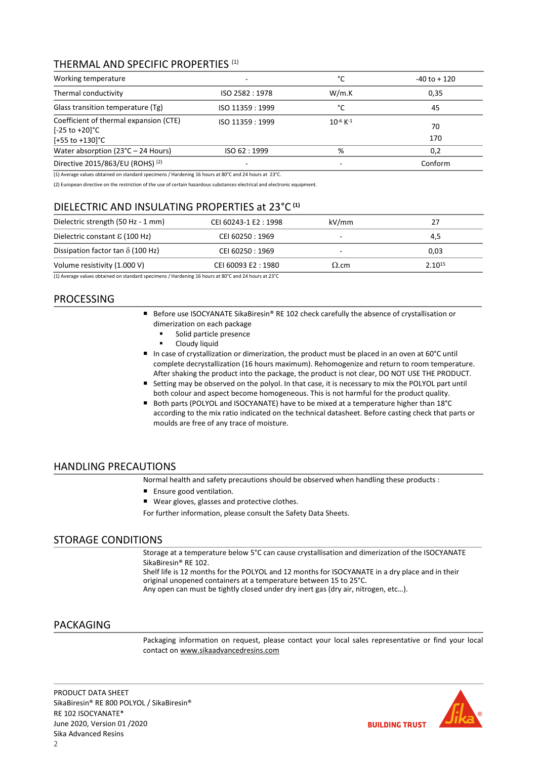### THERMAL AND SPECIFIC PROPERTIES (1)

| Working temperature                                                                         | -                        | °C                        | $-40$ to $+120$ |
|---------------------------------------------------------------------------------------------|--------------------------|---------------------------|-----------------|
| Thermal conductivity                                                                        | ISO 2582: 1978           | W/m.K                     | 0,35            |
| Glass transition temperature (Tg)                                                           | ISO 11359 : 1999         | °C                        | 45              |
| Coefficient of thermal expansion (CTE)<br>$[-25 \text{ to } +20]$ °C<br>$[+55$ to $+130$ °C | ISO 11359 : 1999         | $10^{-6}$ K <sup>-1</sup> | 70<br>170       |
| Water absorption $(23^{\circ}C - 24$ Hours)                                                 | ISO 62:1999              | %                         | 0,2             |
| Directive 2015/863/EU (ROHS) (2)                                                            | $\overline{\phantom{0}}$ | -                         | Conform         |

(1) Average values obtained on standard specimens / Hardening 16 hours at 80°C and 24 hours at 23°C.

(2) European directive on the restriction of the use of certain hazardous substances electrical and electronic equipment.

### DIELECTRIC AND INSULATING PROPERTIES at 23°C **(1)**

|              | 4,5                                                            |
|--------------|----------------------------------------------------------------|
| -            | 0.03                                                           |
| $\Omega$ .cm | 2.1015                                                         |
|              | CEI 60250 : 1969<br>CEI 60250 : 1969<br>CEI 60093 E2:1980<br>. |

(1) Average values obtained on standard specimens / Hardening 16 hours at 80°C and 24 hours at 23°C

### PROCESSING

- Before use ISOCYANATE SikaBiresin® RE 102 check carefully the absence of crystallisation or dimerization on each package
	- Solid particle presence
	- Cloudy liquid
- In case of crystallization or dimerization, the product must be placed in an oven at 60°C until complete decrystallization (16 hours maximum). Rehomogenize and return to room temperature. After shaking the product into the package, the product is not clear, DO NOT USE THE PRODUCT.
- Setting may be observed on the polyol. In that case, it is necessary to mix the POLYOL part until both colour and aspect become homogeneous. This is not harmful for the product quality.
- Both parts (POLYOL and ISOCYANATE) have to be mixed at a temperature higher than 18°C according to the mix ratio indicated on the technical datasheet. Before casting check that parts or moulds are free of any trace of moisture.

#### HANDLING PRECAUTIONS

Normal health and safety precautions should be observed when handling these products :

- Ensure good ventilation.
- Wear gloves, glasses and protective clothes.

For further information, please consult the Safety Data Sheets.

### STORAGE CONDITIONS

Storage at a temperature below 5°C can cause crystallisation and dimerization of the ISOCYANATE SikaBiresin® RE 102.

Shelf life is 12 months for the POLYOL and 12 months for ISOCYANATE in a dry place and in their original unopened containers at a temperature between 15 to 25°C. Any open can must be tightly closed under dry inert gas (dry air, nitrogen, etc…).

#### PACKAGING

Packaging information on request, please contact your local sales representative or find your local contact on [www.sikaadvancedresins.com](http://www.sikaadvancedresins.com/)

PRODUCT DATA SHEET SikaBiresin® RE 800 POLYOL / SikaBiresin® RE 102 ISOCYANATE\* June 2020, Version 01 /2020 Sika Advanced Resins

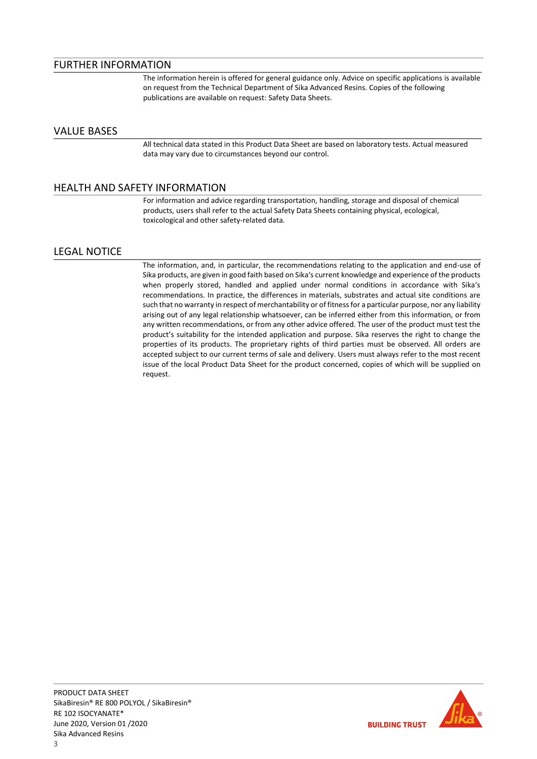### FURTHER INFORMATION

The information herein is offered for general guidance only. Advice on specific applications is available on request from the Technical Department of Sika Advanced Resins. Copies of the following publications are available on request: Safety Data Sheets.

### VALUE BASES

All technical data stated in this Product Data Sheet are based on laboratory tests. Actual measured data may vary due to circumstances beyond our control.

### HEALTH AND SAFETY INFORMATION

For information and advice regarding transportation, handling, storage and disposal of chemical products, users shall refer to the actual Safety Data Sheets containing physical, ecological, toxicological and other safety-related data.

### LEGAL NOTICE

The information, and, in particular, the recommendations relating to the application and end-use of Sika products, are given in good faith based on Sika's current knowledge and experience of the products when properly stored, handled and applied under normal conditions in accordance with Sika's recommendations. In practice, the differences in materials, substrates and actual site conditions are such that no warranty in respect of merchantability or of fitness for a particular purpose, nor any liability arising out of any legal relationship whatsoever, can be inferred either from this information, or from any written recommendations, or from any other advice offered. The user of the product must test the product's suitability for the intended application and purpose. Sika reserves the right to change the properties of its products. The proprietary rights of third parties must be observed. All orders are accepted subject to our current terms of sale and delivery. Users must always refer to the most recent issue of the local Product Data Sheet for the product concerned, copies of which will be supplied on request.